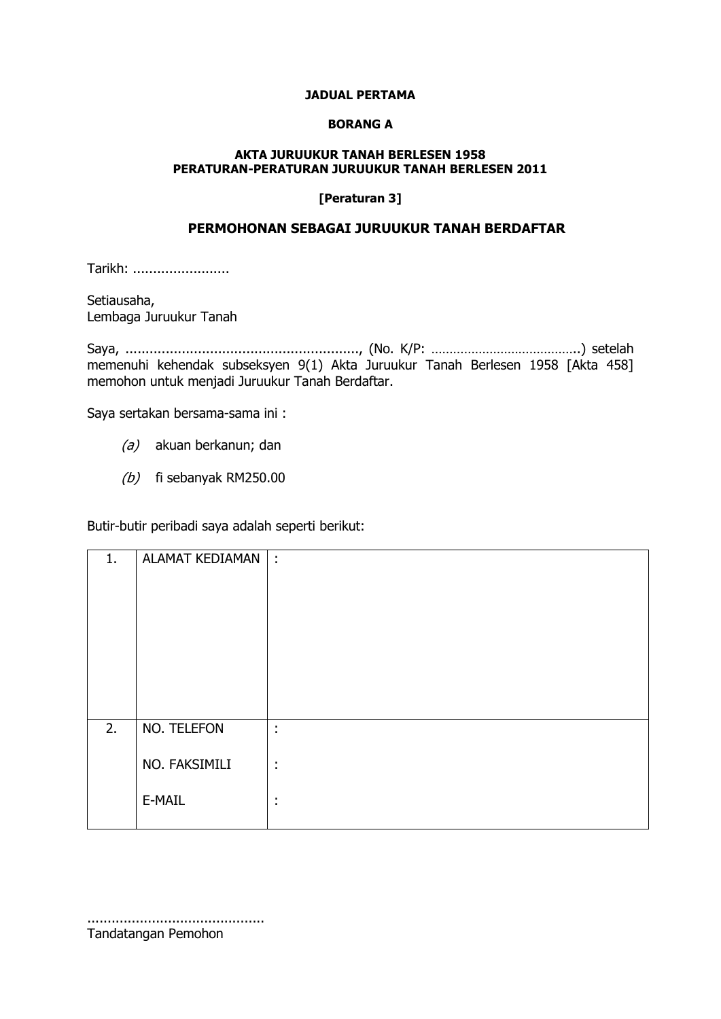#### **JADUAL PERTAMA**

#### **BORANG A**

### **AKTA JURUUKUR TANAH BERLESEN 1958 PERATURAN-PERATURAN JURUUKUR TANAH BERLESEN 2011**

#### **[Peraturan 3]**

# **PERMOHONAN SEBAGAI JURUUKUR TANAH BERDAFTAR**

Tarikh: ........................

Setiausaha, Lembaga Juruukur Tanah

Saya, .........................................................., (No. K/P: …………………………………..) setelah memenuhi kehendak subseksyen 9(1) Akta Juruukur Tanah Berlesen 1958 [Akta 458] memohon untuk menjadi Juruukur Tanah Berdaftar.

Saya sertakan bersama-sama ini :

- (a) akuan berkanun; dan
- $(b)$  fi sebanyak RM250.00

Butir-butir peribadi saya adalah seperti berikut:

| 1. | ALAMAT KEDIAMAN   : |                                  |
|----|---------------------|----------------------------------|
|    |                     |                                  |
|    |                     |                                  |
|    |                     |                                  |
|    |                     |                                  |
|    |                     |                                  |
|    |                     |                                  |
| 2. | NO. TELEFON         | ÷                                |
|    | NO. FAKSIMILI       | ÷                                |
|    |                     |                                  |
|    | E-MAIL              | $\blacksquare$<br>$\blacksquare$ |
|    |                     |                                  |

............................................ Tandatangan Pemohon